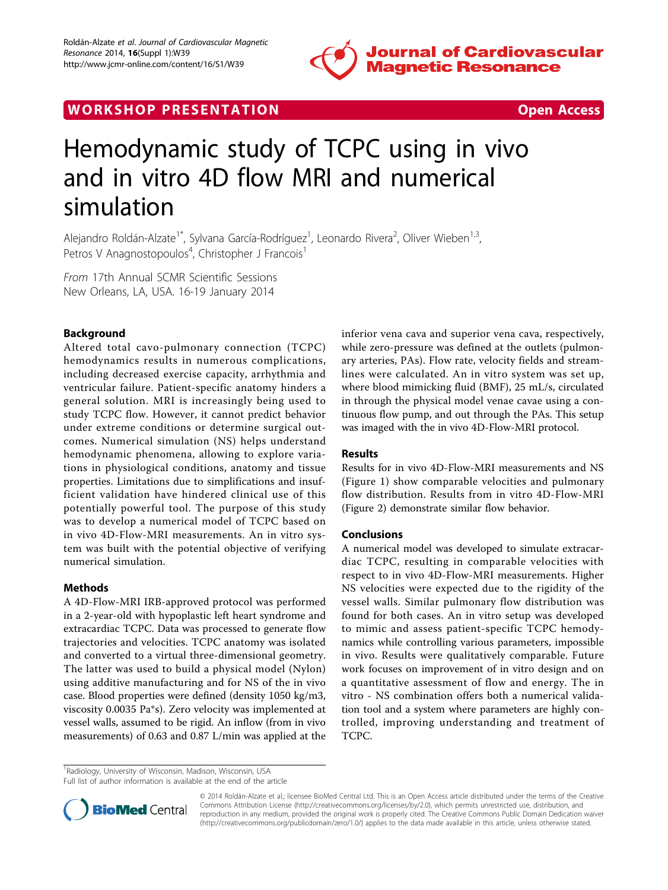

# WORK SHOP PRESENTATION AND RESENSIVE STATES Open Access



# Hemodynamic study of TCPC using in vivo and in vitro 4D flow MRI and numerical simulation

Alejandro Roldán-Alzate<sup>1\*</sup>, Sylvana García-Rodríguez<sup>1</sup>, Leonardo Rivera<sup>2</sup>, Oliver Wieben<sup>1,3</sup>, Petros V Anagnostopoulos<sup>4</sup>, Christopher J Francois<sup>1</sup>

From 17th Annual SCMR Scientific Sessions New Orleans, LA, USA. 16-19 January 2014

# Background

Altered total cavo-pulmonary connection (TCPC) hemodynamics results in numerous complications, including decreased exercise capacity, arrhythmia and ventricular failure. Patient-specific anatomy hinders a general solution. MRI is increasingly being used to study TCPC flow. However, it cannot predict behavior under extreme conditions or determine surgical outcomes. Numerical simulation (NS) helps understand hemodynamic phenomena, allowing to explore variations in physiological conditions, anatomy and tissue properties. Limitations due to simplifications and insufficient validation have hindered clinical use of this potentially powerful tool. The purpose of this study was to develop a numerical model of TCPC based on in vivo 4D-Flow-MRI measurements. An in vitro system was built with the potential objective of verifying numerical simulation.

### Methods

A 4D-Flow-MRI IRB-approved protocol was performed in a 2-year-old with hypoplastic left heart syndrome and extracardiac TCPC. Data was processed to generate flow trajectories and velocities. TCPC anatomy was isolated and converted to a virtual three-dimensional geometry. The latter was used to build a physical model (Nylon) using additive manufacturing and for NS of the in vivo case. Blood properties were defined (density 1050 kg/m3, viscosity 0.0035 Pa\*s). Zero velocity was implemented at vessel walls, assumed to be rigid. An inflow (from in vivo measurements) of 0.63 and 0.87 L/min was applied at the inferior vena cava and superior vena cava, respectively, while zero-pressure was defined at the outlets (pulmonary arteries, PAs). Flow rate, velocity fields and streamlines were calculated. An in vitro system was set up, where blood mimicking fluid (BMF), 25 mL/s, circulated in through the physical model venae cavae using a continuous flow pump, and out through the PAs. This setup was imaged with the in vivo 4D-Flow-MRI protocol.

#### Results

Results for in vivo 4D-Flow-MRI measurements and NS (Figure [1\)](#page-1-0) show comparable velocities and pulmonary flow distribution. Results from in vitro 4D-Flow-MRI (Figure [2\)](#page-1-0) demonstrate similar flow behavior.

## Conclusions

A numerical model was developed to simulate extracardiac TCPC, resulting in comparable velocities with respect to in vivo 4D-Flow-MRI measurements. Higher NS velocities were expected due to the rigidity of the vessel walls. Similar pulmonary flow distribution was found for both cases. An in vitro setup was developed to mimic and assess patient-specific TCPC hemodynamics while controlling various parameters, impossible in vivo. Results were qualitatively comparable. Future work focuses on improvement of in vitro design and on a quantitative assessment of flow and energy. The in vitro - NS combination offers both a numerical validation tool and a system where parameters are highly controlled, improving understanding and treatment of TCPC.

<sup>1</sup> Radiology, University of Wisconsin, Madison, Wisconsin, USA Full list of author information is available at the end of the article



© 2014 Roldán-Alzate et al.; licensee BioMed Central Ltd. This is an Open Access article distributed under the terms of the Creative Commons Attribution License [\(http://creativecommons.org/licenses/by/2.0](http://creativecommons.org/licenses/by/2.0)), which permits unrestricted use, distribution, and reproduction in any medium, provided the original work is properly cited. The Creative Commons Public Domain Dedication waiver [\(http://creativecommons.org/publicdomain/zero/1.0/](http://creativecommons.org/publicdomain/zero/1.0/)) applies to the data made available in this article, unless otherwise stated.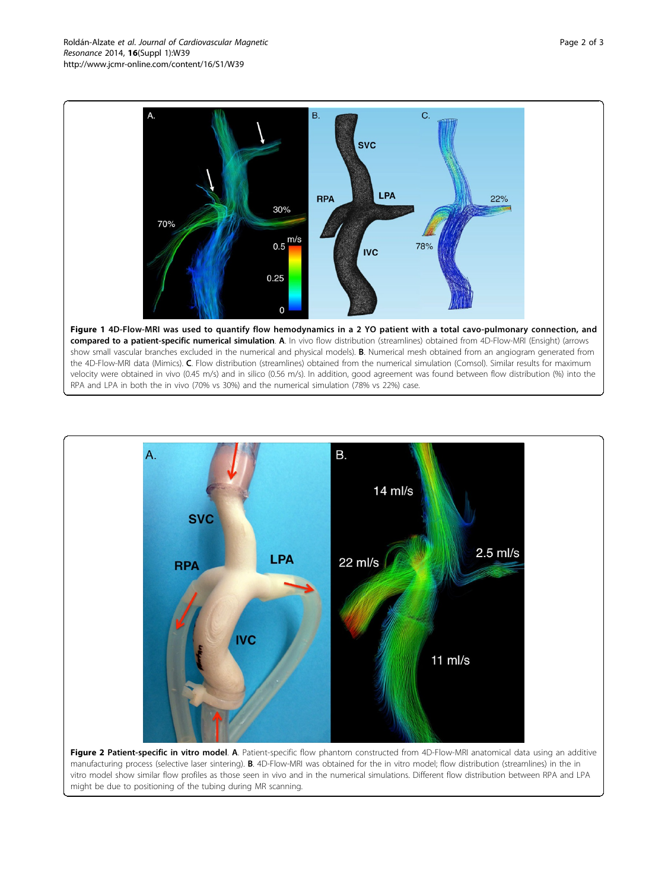<span id="page-1-0"></span>

 $\overline{A}$ **B.**  $14$  ml/s **SVC**  $2.5$  ml/s LPA 22 ml/s **RPA IVC**  $11$  ml/s

Figure 2 Patient-specific in vitro model. A. Patient-specific flow phantom constructed from 4D-Flow-MRI anatomical data using an additive manufacturing process (selective laser sintering). B. 4D-Flow-MRI was obtained for the in vitro model; flow distribution (streamlines) in the in vitro model show similar flow profiles as those seen in vivo and in the numerical simulations. Different flow distribution between RPA and LPA might be due to positioning of the tubing during MR scanning.